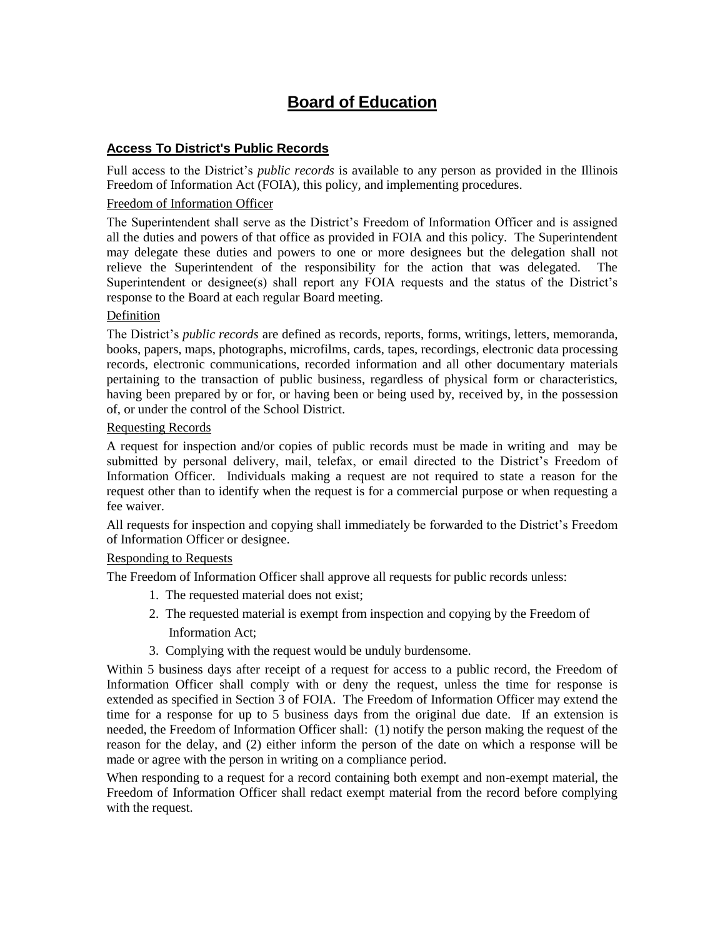# **Board of Education**

# **Access To District's Public Records**

Full access to the District's *public records* is available to any person as provided in the Illinois Freedom of Information Act (FOIA), this policy, and implementing procedures.

#### Freedom of Information Officer

The Superintendent shall serve as the District's Freedom of Information Officer and is assigned all the duties and powers of that office as provided in FOIA and this policy. The Superintendent may delegate these duties and powers to one or more designees but the delegation shall not relieve the Superintendent of the responsibility for the action that was delegated. The Superintendent or designee(s) shall report any FOIA requests and the status of the District's response to the Board at each regular Board meeting.

#### Definition

The District's *public records* are defined as records, reports, forms, writings, letters, memoranda, books, papers, maps, photographs, microfilms, cards, tapes, recordings, electronic data processing records, electronic communications, recorded information and all other documentary materials pertaining to the transaction of public business, regardless of physical form or characteristics, having been prepared by or for, or having been or being used by, received by, in the possession of, or under the control of the School District.

#### Requesting Records

A request for inspection and/or copies of public records must be made in writing and may be submitted by personal delivery, mail, telefax, or email directed to the District's Freedom of Information Officer. Individuals making a request are not required to state a reason for the request other than to identify when the request is for a commercial purpose or when requesting a fee waiver.

All requests for inspection and copying shall immediately be forwarded to the District's Freedom of Information Officer or designee.

#### Responding to Requests

The Freedom of Information Officer shall approve all requests for public records unless:

- 1. The requested material does not exist;
- 2. The requested material is exempt from inspection and copying by the Freedom of Information Act;
- 3. Complying with the request would be unduly burdensome.

Within 5 business days after receipt of a request for access to a public record, the Freedom of Information Officer shall comply with or deny the request, unless the time for response is extended as specified in Section 3 of FOIA. The Freedom of Information Officer may extend the time for a response for up to 5 business days from the original due date. If an extension is needed, the Freedom of Information Officer shall: (1) notify the person making the request of the reason for the delay, and (2) either inform the person of the date on which a response will be made or agree with the person in writing on a compliance period.

When responding to a request for a record containing both exempt and non-exempt material, the Freedom of Information Officer shall redact exempt material from the record before complying with the request.